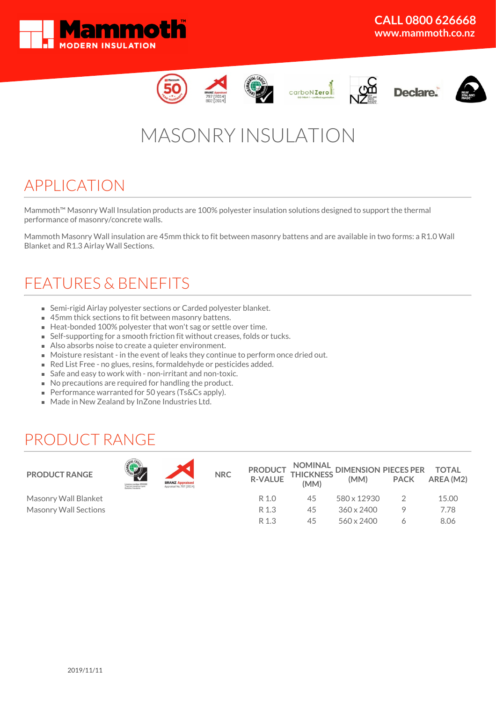













# MASONRY INSULATION

### APPLICATION

Mammoth™ Masonry Wall Insulation products are 100% polyester insulation solutions designed to support the thermal performance of masonry/concrete walls.

Mammoth Masonry Wall insulation are 45mm thick to fit between masonry battens and are available in two forms: a R1.0 Wall Blanket and R1.3 Airlay Wall Sections.

## FEATURES & BENEFITS

- Semi-rigid Airlay polyester sections or Carded polyester blanket.
- 45mm thick sections to fit between masonry battens.
- Heat-bonded 100% polyester that won't sag or settle over time.
- Self-supporting for a smooth friction fit without creases, folds or tucks.
- Also absorbs noise to create a quieter environment.
- Moisture resistant in the event of leaks they continue to perform once dried out.
- Red List Free no glues, resins, formaldehyde or pesticides added.
- Safe and easy to work with non-irritant and non-toxic.
- No precautions are required for handling the product.
- Performance warranted for 50 years (Ts&Cs apply).
- **Made in New Zealand by InZone Industries Ltd.**

### PRODUCT RANGE



Masonry Wall Blanket Masonry Wall Sections

| <b>BRANZ Appraised</b><br>Annraical No. 797 (2014) |
|----------------------------------------------------|

| <b>PRODUCT</b><br><b>R-VALUE</b> | (MM) | NOMINAL DIMENSION PIECES PER TOTAL<br>THICKNESS (MAA) PACK APEA (M)<br>(MM) | <b>PACK</b> | AREA (M2) |
|----------------------------------|------|-----------------------------------------------------------------------------|-------------|-----------|
| R 1.0                            | 45   | 580 x 12930                                                                 | 2           | 15.00     |
| R 1.3                            | 45   | 360 x 2400                                                                  |             | 7.78      |
| R 1.3                            | 45   | 560 x 2400                                                                  |             | 8.06      |
|                                  |      |                                                                             |             |           |